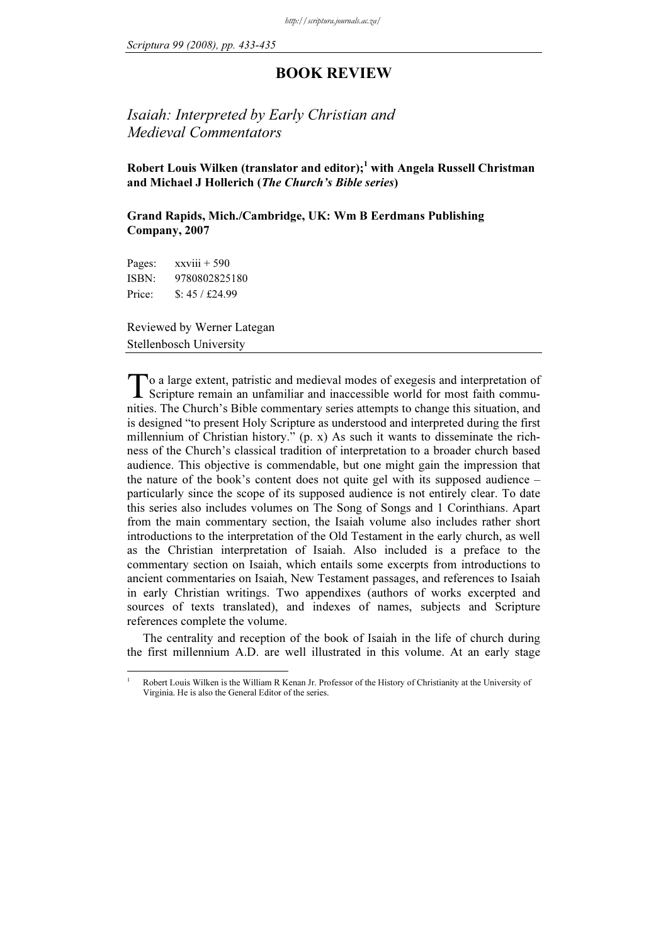## BOOK REVIEW

## Isaiah: Interpreted by Early Christian and Medieval Commentators

Robert Louis Wilken (translator and editor); $1$  with Angela Russell Christman and Michael J Hollerich (The Church's Bible series)

Grand Rapids, Mich./Cambridge, UK: Wm B Eerdmans Publishing Company, 2007

Pages: xxviii + 590<br>ISBN: 9780802825180 Price:  $$: 45 / £24.99$ Price: \$: 45 / £24.99

1

Reviewed by Werner Lategan Stellenbosch University

o a large extent, patristic and medieval modes of exegesis and interpretation of To a large extent, patristic and medieval modes of exegesis and interpretation of Scripture remain an unfamiliar and inaccessible world for most faith communities. The Church's Bible commentary series attempts to change this situation, and is designed "to present Holy Scripture as understood and interpreted during the first millennium of Christian history."  $(p, x)$  As such it wants to disseminate the richness of the Church's classical tradition of interpretation to a broader church based audience. This objective is commendable, but one might gain the impression that the nature of the book's content does not quite gel with its supposed audience – particularly since the scope of its supposed audience is not entirely clear. To date this series also includes volumes on The Song of Songs and 1 Corinthians. Apart from the main commentary section, the Isaiah volume also includes rather short introductions to the interpretation of the Old Testament in the early church, as well as the Christian interpretation of Isaiah. Also included is a preface to the commentary section on Isaiah, which entails some excerpts from introductions to ancient commentaries on Isaiah, New Testament passages, and references to Isaiah in early Christian writings. Two appendixes (authors of works excerpted and sources of texts translated), and indexes of names, subjects and Scripture references complete the volume.

The centrality and reception of the book of Isaiah in the life of church during the first millennium A.D. are well illustrated in this volume. At an early stage

Robert Louis Wilken is the William R Kenan Jr. Professor of the History of Christianity at the University of Virginia. He is also the General Editor of the series.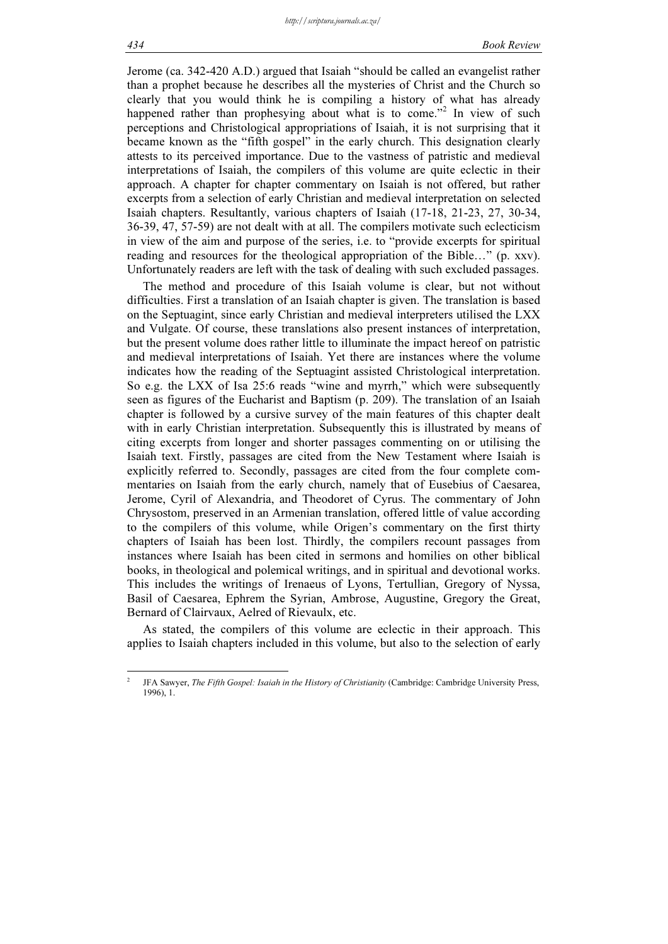Jerome (ca. 342-420 A.D.) argued that Isaiah "should be called an evangelist rather than a prophet because he describes all the mysteries of Christ and the Church so clearly that you would think he is compiling a history of what has already happened rather than prophesying about what is to come."<sup>2</sup> In view of such perceptions and Christological appropriations of Isaiah, it is not surprising that it became known as the "fifth gospel" in the early church. This designation clearly attests to its perceived importance. Due to the vastness of patristic and medieval interpretations of Isaiah, the compilers of this volume are quite eclectic in their approach. A chapter for chapter commentary on Isaiah is not offered, but rather excerpts from a selection of early Christian and medieval interpretation on selected Isaiah chapters. Resultantly, various chapters of Isaiah (17-18, 21-23, 27, 30-34, 36-39, 47, 57-59) are not dealt with at all. The compilers motivate such eclecticism in view of the aim and purpose of the series, i.e. to "provide excerpts for spiritual reading and resources for the theological appropriation of the Bible…" (p. xxv). Unfortunately readers are left with the task of dealing with such excluded passages.

The method and procedure of this Isaiah volume is clear, but not without difficulties. First a translation of an Isaiah chapter is given. The translation is based on the Septuagint, since early Christian and medieval interpreters utilised the LXX and Vulgate. Of course, these translations also present instances of interpretation, but the present volume does rather little to illuminate the impact hereof on patristic and medieval interpretations of Isaiah. Yet there are instances where the volume indicates how the reading of the Septuagint assisted Christological interpretation. So e.g. the LXX of Isa 25:6 reads "wine and myrrh," which were subsequently seen as figures of the Eucharist and Baptism (p. 209). The translation of an Isaiah chapter is followed by a cursive survey of the main features of this chapter dealt with in early Christian interpretation. Subsequently this is illustrated by means of citing excerpts from longer and shorter passages commenting on or utilising the Isaiah text. Firstly, passages are cited from the New Testament where Isaiah is explicitly referred to. Secondly, passages are cited from the four complete commentaries on Isaiah from the early church, namely that of Eusebius of Caesarea, Jerome, Cyril of Alexandria, and Theodoret of Cyrus. The commentary of John Chrysostom, preserved in an Armenian translation, offered little of value according to the compilers of this volume, while Origen's commentary on the first thirty chapters of Isaiah has been lost. Thirdly, the compilers recount passages from instances where Isaiah has been cited in sermons and homilies on other biblical books, in theological and polemical writings, and in spiritual and devotional works. This includes the writings of Irenaeus of Lyons, Tertullian, Gregory of Nyssa, Basil of Caesarea, Ephrem the Syrian, Ambrose, Augustine, Gregory the Great, Bernard of Clairvaux, Aelred of Rievaulx, etc.

As stated, the compilers of this volume are eclectic in their approach. This applies to Isaiah chapters included in this volume, but also to the selection of early

<sup>2</sup> JFA Sawyer, The Fifth Gospel: Isaiah in the History of Christianity (Cambridge: Cambridge University Press, 1996), 1.